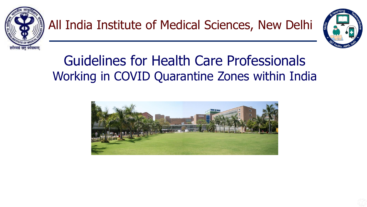



#### Guidelines for Health Care Professionals Working in COVID Quarantine Zones within India

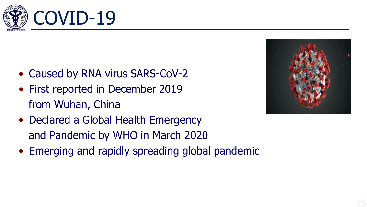

- Caused by RNA virus SARS-CoV-2
- First reported in December 2019 from Wuhan, China
- Declared a Global Health Emergency and Pandemic by WHO in March 2020
- Emerging and rapidly spreading global pandemic

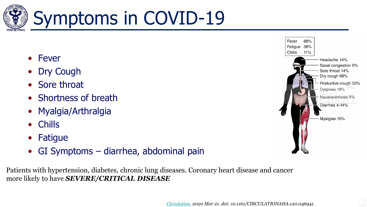

## Symptoms in COVID-19

- Fever
- **Dry Cough**
- Sore throat
- Shortness of breath
- Myalgia/Arthralgia
- Chills
- **Fatigue**
- GI Symptoms diarrhea, abdominal pain

Patients with hypertension, diabetes, chronic lung diseases. Coronary heart disease and cancer more likely to have *SEVERE/CRITICAL DISEASE*

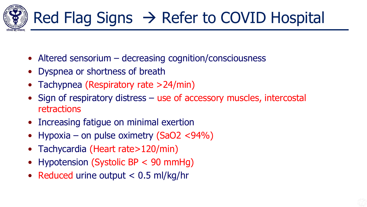

- Altered sensorium decreasing cognition/consciousness
- Dyspnea or shortness of breath
- Tachypnea (Respiratory rate >24/min)
- Sign of respiratory distress use of accessory muscles, intercostal retractions
- Increasing fatigue on minimal exertion
- Hypoxia on pulse oximetry  $(SaO2 < 94\%)$
- Tachycardia (Heart rate>120/min)
- Hypotension (Systolic BP < 90 mmHg)
- Reduced urine output < 0.5 ml/kg/hr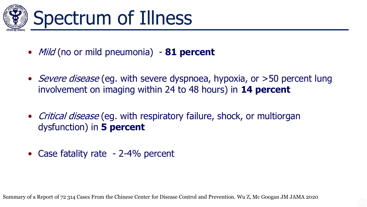

## Spectrum of Illness

- Mild (no or mild pneumonia) **81 percent**
- *Severe disease* (eg. with severe dyspnoea, hypoxia, or >50 percent lung involvement on imaging within 24 to 48 hours) in **14 percent**
- Critical disease (eg. with respiratory failure, shock, or multiorgan dysfunction) in **5 percent**
- Case fatality rate 2-4% percent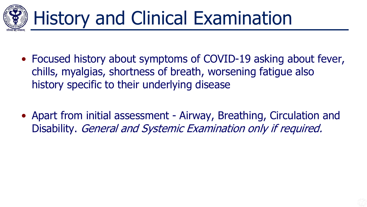

## History and Clinical Examination

- Focused history about symptoms of COVID-19 asking about fever, chills, myalgias, shortness of breath, worsening fatigue also history specific to their underlying disease
- Apart from initial assessment Airway, Breathing, Circulation and Disability. General and Systemic Examination only if required.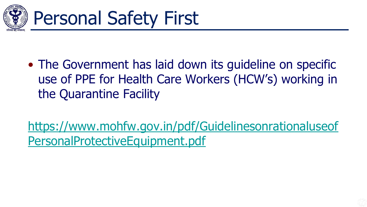

• The Government has laid down its quideline on specific use of PPE for Health Care Workers (HCW's) working in the Quarantine Facility

[https://www.mohfw.gov.in/pdf/Guidelinesonrationaluseof](https://www.mohfw.gov.in/pdf/GuidelinesonrationaluseofPersonalProtectiveEquipment.pdf) PersonalProtectiveEquipment.pdf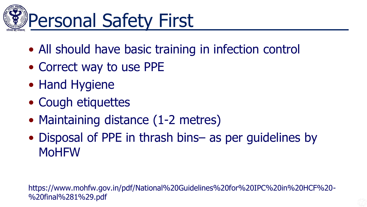

- All should have basic training in infection control
- Correct way to use PPE
- Hand Hygiene
- Cough etiquettes
- Maintaining distance (1-2 metres)
- Disposal of PPE in thrash bins– as per guidelines by MoHFW

https://www.mohfw.gov.in/pdf/National%20Guidelines%20for%20IPC%20in%20HCF%20- %20final%281%29.pdf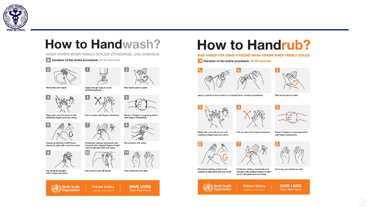

#### **How to Handwash?**

WASH HANDS WHEN VISIBLY SOILED! OTHERWISE, USE HANDRUB

Palm to palm with fingers interlaced;

Rotational rubbing, backwards and

Duration of the entire procedure: 40-60 seconds



Wet hands with water;



Apply enough soap to cover all hand surfaces;

 $\overline{4}$ 



Right palm over left dorsum with interlaced fingers and vice versa;









Dry hands thoroughly with a single use towel;







**Patient Safety** 



**SAVE LIVES** 

Clean Your Hands

Rinse hands with water;

#### **How to Handrub?**

RUB HANDS FOR HAND HYGIENE! WASH HANDS WHEN VISIBLY SOILED

 $\odot$ Duration of the entire procedure: 20-30 seconds





Apply a palmful of the product in a cupped hand, covering all surfaces;









Right palm over left dorsum with

interlaced fingers and vice versa;





Rotational rubbing of left thumb clasped in right palm and vice versa;

Rotational rubbing, backwards and forwards with clasped fingers of right hand in left palm and vice versa;





A World Allumor for Sater Health Care

Backs of fingers to opposing palms with fingers interlocked;











 $\overline{2}$ 

Backs of fingers to opposing palms

with fingers interlocked;

Rub hands palm to palm;

8



5

Rub hands palm to palm;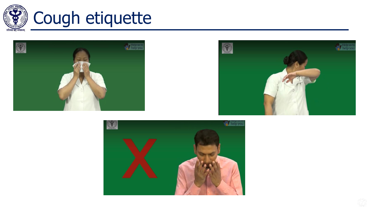

## Cough etiquette







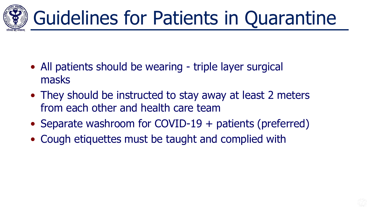

- All patients should be wearing triple layer surgical masks
- They should be instructed to stay away at least 2 meters from each other and health care team
- Separate washroom for COVID-19 + patients (preferred)
- Cough etiquettes must be taught and complied with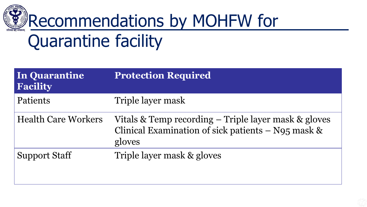

### Quarantine facility

| In Quarantine<br><b>Facility</b> | <b>Protection Required</b>                                                                                             |
|----------------------------------|------------------------------------------------------------------------------------------------------------------------|
| Patients                         | Triple layer mask                                                                                                      |
| <b>Health Care Workers</b>       | Vitals & Temp recording – Triple layer mask & gloves<br>Clinical Examination of sick patients $-$ N95 mask &<br>gloves |
| <b>Support Staff</b>             | Triple layer mask & gloves                                                                                             |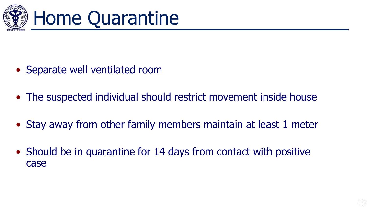



- Separate well ventilated room
- The suspected individual should restrict movement inside house
- Stay away from other family members maintain at least 1 meter
- Should be in quarantine for 14 days from contact with positive case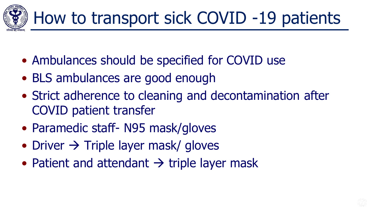

- Ambulances should be specified for COVID use
- BLS ambulances are good enough
- Strict adherence to cleaning and decontamination after COVID patient transfer
- Paramedic staff- N95 mask/gloves
- Driver  $\rightarrow$  Triple layer mask/ gloves
- Patient and attendant  $\rightarrow$  triple layer mask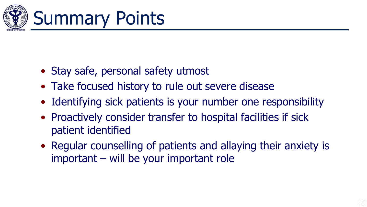

## Summary Points

- Stay safe, personal safety utmost
- Take focused history to rule out severe disease
- Identifying sick patients is your number one responsibility
- Proactively consider transfer to hospital facilities if sick patient identified
- Regular counselling of patients and allaying their anxiety is important – will be your important role